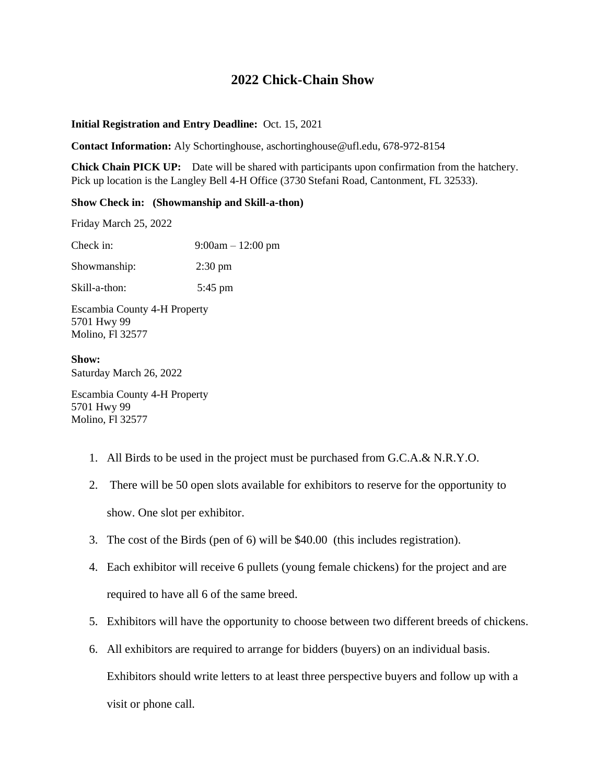## **2022 Chick-Chain Show**

## **Initial Registration and Entry Deadline:** Oct. 15, 2021

**Contact Information:** Aly Schortinghouse, aschortinghouse@ufl.edu, 678-972-8154

**Chick Chain PICK UP:** Date will be shared with participants upon confirmation from the hatchery. Pick up location is the Langley Bell 4-H Office (3730 Stefani Road, Cantonment, FL 32533).

## **Show Check in: (Showmanship and Skill-a-thon)**

Friday March 25, 2022

Check in: 9:00am – 12:00 pm Showmanship: 2:30 pm Skill-a-thon: 5:45 pm

Escambia County 4-H Property 5701 Hwy 99 Molino, Fl 32577

**Show:** Saturday March 26, 2022

Escambia County 4-H Property 5701 Hwy 99 Molino, Fl 32577

- 1. All Birds to be used in the project must be purchased from G.C.A.& N.R.Y.O.
- 2. There will be 50 open slots available for exhibitors to reserve for the opportunity to show. One slot per exhibitor.
- 3. The cost of the Birds (pen of 6) will be \$40.00 (this includes registration).
- 4. Each exhibitor will receive 6 pullets (young female chickens) for the project and are required to have all 6 of the same breed.
- 5. Exhibitors will have the opportunity to choose between two different breeds of chickens.
- 6. All exhibitors are required to arrange for bidders (buyers) on an individual basis. Exhibitors should write letters to at least three perspective buyers and follow up with a visit or phone call.